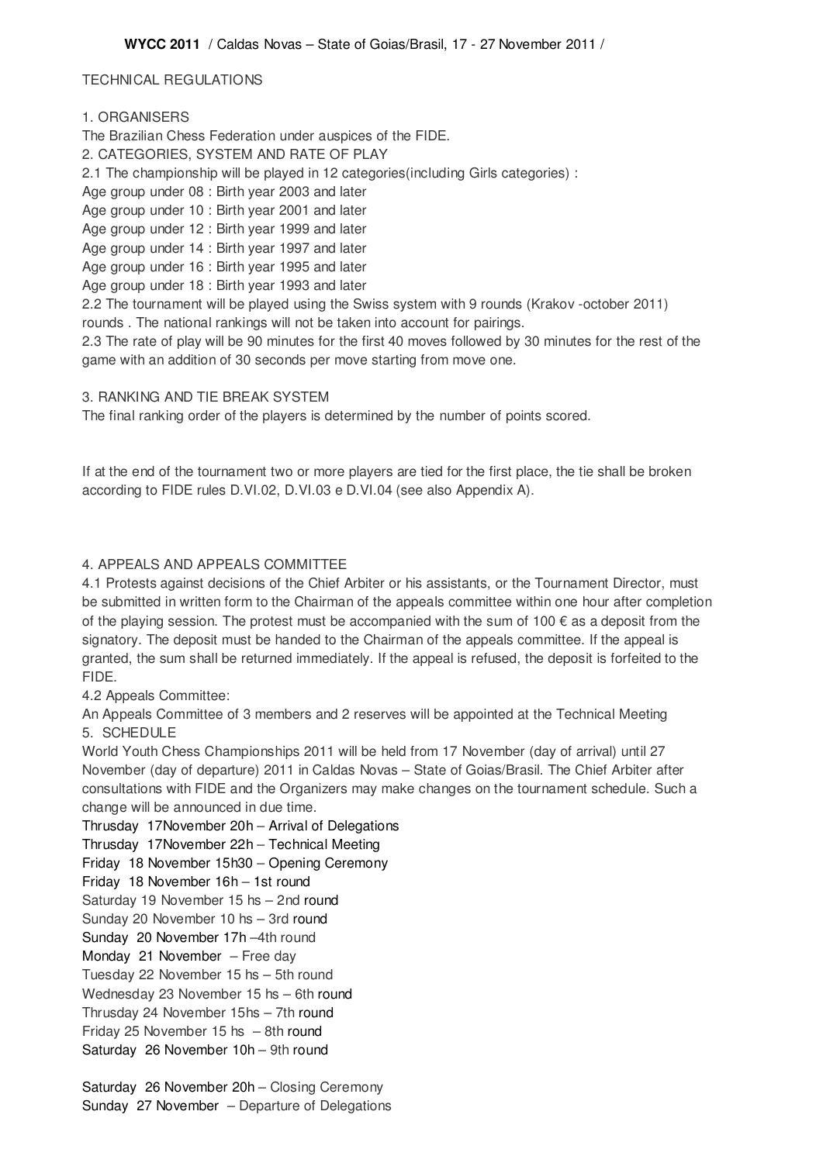# TECHNICAL REGULATIONS

# 1. ORGANISERS

The Brazilian Chess Federation under auspices of the FIDE. 2. CATEGORIES, SYSTEM AND RATE OF PLAY 2.1 The championship will be played in 12 categories(including Girls categories) : Age group under 08 : Birth year 2003 and later Age group under 10 : Birth year 2001 and later Age group under 12 : Birth year 1999 and later Age group under 14 : Birth year 1997 and later Age group under 16 : Birth year 1995 and later Age group under 18 : Birth year 1993 and later 2.2 The tournament will be played using the Swiss system with 9 rounds (Krakov -october 2011) rounds . The national rankings will not be taken into account for pairings.

2.3 The rate of play will be 90 minutes for the first 40 moves followed by 30 minutes for the rest of the game with an addition of 30 seconds per move starting from move one.

#### 3. RANKING AND TIE BREAK SYSTEM

The final ranking order of the players is determined by the number of points scored.

If at the end of the tournament two or more players are tied for the first place, the tie shall be broken according to FIDE rules D.VI.02, D.VI.03 e D.VI.04 (see also Appendix A).

### 4. APPEALS AND APPEALS COMMITTEE

4.1 Protests against decisions of the Chief Arbiter or his assistants, or the Tournament Director, must be submitted in written form to the Chairman of the appeals committee within one hour after completion of the playing session. The protest must be accompanied with the sum of  $100 \in \text{as a deposit from the}$ signatory. The deposit must be handed to the Chairman of the appeals committee. If the appeal is granted, the sum shall be returned immediately. If the appeal is refused, the deposit is forfeited to the FIDE.

4.2 Appeals Committee:

An Appeals Committee of 3 members and 2 reserves will be appointed at the Technical Meeting 5. SCHEDULE

World Youth Chess Championships 2011 will be held from 17 November (day of arrival) until 27 November (day of departure) 2011 in Caldas Novas – State of Goias/Brasil. The Chief Arbiter after consultations with FIDE and the Organizers may make changes on the tournament schedule. Such a change will be announced in due time.

Thrusday 17November 20h – Arrival of Delegations

Thrusday 17November 22h – Technical Meeting

Friday 18 November 15h30 – Opening Ceremony

Friday 18 November 16h – 1st round

Saturday 19 November 15 hs – 2nd round

Sunday 20 November 10 hs – 3rd round

Sunday 20 November 17h –4th round

Monday 21 November – Free day

Tuesday 22 November 15 hs – 5th round

Wednesday 23 November 15 hs – 6th round

Thrusday 24 November 15hs – 7th round

Friday 25 November 15 hs – 8th round

Saturday 26 November 10h – 9th round

Saturday 26 November 20h – Closing Ceremony Sunday 27 November – Departure of Delegations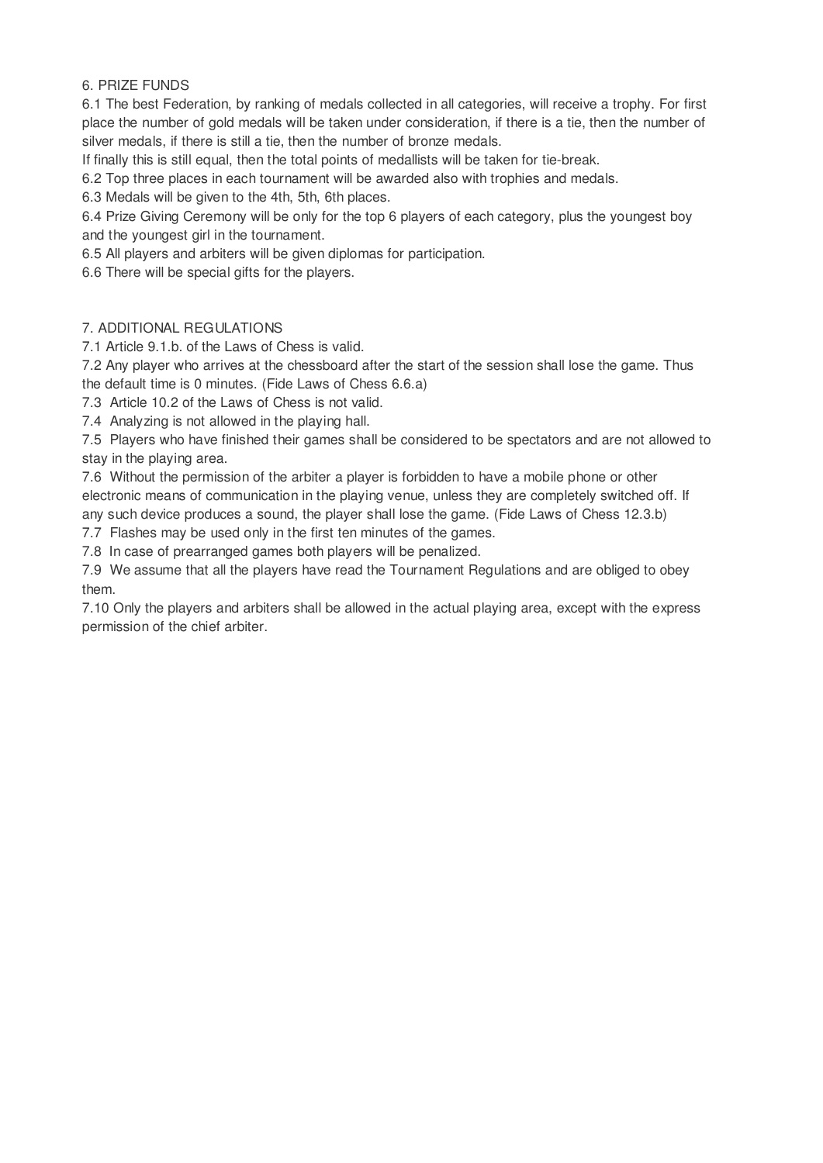### 6. PRIZE FUNDS

6.1 The best Federation, by ranking of medals collected in all categories, will receive a trophy. For first place the number of gold medals will be taken under consideration, if there is a tie, then the number of silver medals, if there is still a tie, then the number of bronze medals.

If finally this is still equal, then the total points of medallists will be taken for tie-break.

6.2 Top three places in each tournament will be awarded also with trophies and medals.

6.3 Medals will be given to the 4th, 5th, 6th places.

6.4 Prize Giving Ceremony will be only for the top 6 players of each category, plus the youngest boy and the youngest girl in the tournament.

6.5 All players and arbiters will be given diplomas for participation.

6.6 There will be special gifts for the players.

# 7. ADDITIONAL REGULATIONS

7.1 Article 9.1.b. of the Laws of Chess is valid.

7.2 Any player who arrives at the chessboard after the start of the session shall lose the game. Thus the default time is 0 minutes. (Fide Laws of Chess 6.6.a)

7.3 Article 10.2 of the Laws of Chess is not valid.

7.4 Analyzing is not allowed in the playing hall.

7.5 Players who have finished their games shall be considered to be spectators and are not allowed to stay in the playing area.

7.6 Without the permission of the arbiter a player is forbidden to have a mobile phone or other electronic means of communication in the playing venue, unless they are completely switched off. If any such device produces a sound, the player shall lose the game. (Fide Laws of Chess 12.3.b)

7.7 Flashes may be used only in the first ten minutes of the games.

7.8 In case of prearranged games both players will be penalized.

7.9 We assume that all the players have read the Tournament Regulations and are obliged to obey them.

7.10 Only the players and arbiters shall be allowed in the actual playing area, except with the express permission of the chief arbiter.